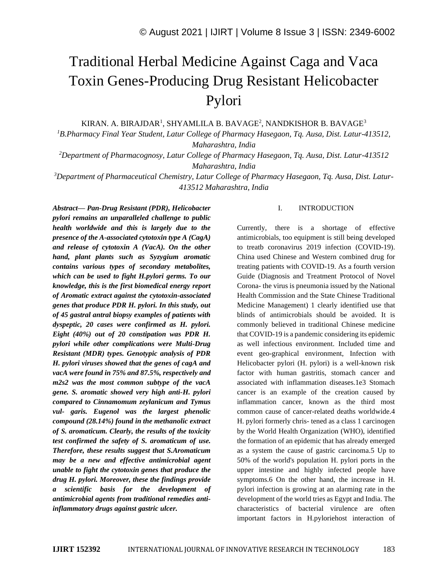# Traditional Herbal Medicine Against Caga and Vaca Toxin Genes-Producing Drug Resistant Helicobacter Pylori

KIRAN. A. BIRAJDAR<sup>1</sup>, SHYAMLILA B. BAVAGE<sup>2</sup>, NANDKISHOR B. BAVAGE<sup>3</sup>

*<sup>1</sup>B.Pharmacy Final Year Student, Latur College of Pharmacy Hasegaon, Tq. Ausa, Dist. Latur-413512, Maharashtra, India*

*<sup>2</sup>Department of Pharmacognosy, Latur College of Pharmacy Hasegaon, Tq. Ausa, Dist. Latur-413512 Maharashtra, India*

*<sup>3</sup>Department of Pharmaceutical Chemistry, Latur College of Pharmacy Hasegaon, Tq. Ausa, Dist. Latur-413512 Maharashtra, India*

*Abstract— Pan-Drug Resistant (PDR), Helicobacter pylori remains an unparalleled challenge to public health worldwide and this is largely due to the presence of the A-associated cytotoxin type A (CagA) and release of cytotoxin A (VacA). On the other hand, plant plants such as Syzygium aromatic contains various types of secondary metabolites, which can be used to fight H.pylori germs. To our knowledge, this is the first biomedical energy report of Aromatic extract against the cytotoxin-associated genes that produce PDR H. pylori. In this study, out of 45 gastral antral biopsy examples of patients with dyspeptic, 20 cases were confirmed as H. pylori. Eight (40%) out of 20 constipation was PDR H. pylori while other complications were Multi-Drug Resistant (MDR) types. Genotypic analysis of PDR H. pylori viruses showed that the genes of cagA and vacA were found in 75% and 87.5%, respectively and m2s2 was the most common subtype of the vacA gene. S. aromatic showed very high anti-H. pylori compared to Cinnamomum zeylanicum and Tymus vul- garis. Eugenol was the largest phenolic compound (28.14%) found in the methanolic extract of S. aromaticum. Clearly, the results of the toxicity test confirmed the safety of S. aromaticum of use. Therefore, these results suggest that S.Aromaticum may be a new and effective antimicrobial agent unable to fight the cytotoxin genes that produce the drug H. pylori. Moreover, these the findings provide a scientific basis for the development of antimicrobial agents from traditional remedies antiinflammatory drugs against gastric ulcer.*

### I. INTRODUCTION

Currently, there is a shortage of effective antimicrobials, too equipment is still being developed to treatb coronavirus 2019 infection (COVID-19). China used Chinese and Western combined drug for treating patients with COVID-19. As a fourth version Guide (Diagnosis and Treatment Protocol of Novel Corona- the virus is pneumonia issued by the National Health Commission and the State Chinese Traditional Medicine Management) 1 clearly identified use that blinds of antimicrobials should be avoided. It is commonly believed in traditional Chinese medicine that COVID-19 is a pandemic considering its epidemic as well infectious environment. Included time and event geo-graphical environment, Infection with Helicobacter pylori (H. pylori) is a well-known risk factor with human gastritis, stomach cancer and associated with inflammation diseases.1e3 Stomach cancer is an example of the creation caused by inflammation cancer, known as the third most common cause of cancer-related deaths worldwide.4 H. pylori formerly chris- tened as a class 1 carcinogen by the World Health Organization (WHO), identified the formation of an epidemic that has already emerged as a system the cause of gastric carcinoma.5 Up to 50% of the world's population H. pylori ports in the upper intestine and highly infected people have symptoms.6 On the other hand, the increase in H. pylori infection is growing at an alarming rate in the development of the world tries as Egypt and India. The characteristics of bacterial virulence are often important factors in H.pyloriehost interaction of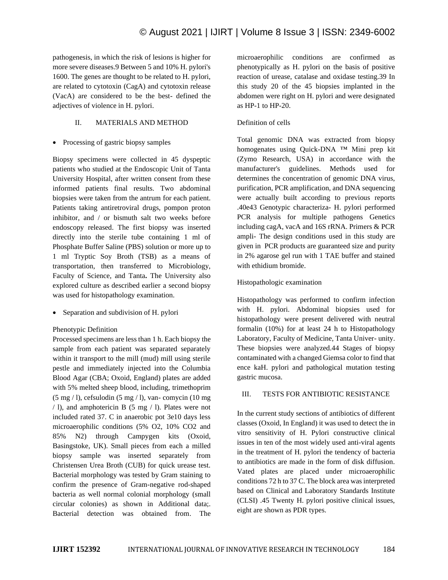pathogenesis, in which the risk of lesions is higher for more severe diseases.9 Between 5 and 10% H. pylori's 1600. The genes are thought to be related to H. pylori, are related to cytotoxin (CagA) and cytotoxin release (VacA) are considered to be the best- defined the adjectives of violence in H. pylori.

# II. MATERIALS AND METHOD

• Processing of gastric biopsy samples

Biopsy specimens were collected in 45 dyspeptic patients who studied at the Endoscopic Unit of Tanta University Hospital, after written consent from these informed patients final results. Two abdominal biopsies were taken from the antrum for each patient. Patients taking antiretroviral drugs, pompon proton inhibitor, and / or bismuth salt two weeks before endoscopy released. The first biopsy was inserted directly into the sterile tube containing 1 ml of Phosphate Buffer Saline (PBS) solution or more up to 1 ml Tryptic Soy Broth (TSB) as a means of transportation, then transferred to Microbiology, Faculty of Science, and Tanta**.** The University also explored culture as described earlier a second biopsy was used for histopathology examination.

• Separation and subdivision of H. pylori

Phenotypic Definition

Processed specimens are less than 1 h. Each biopsy the sample from each patient was separated separately within it transport to the mill (mud) mill using sterile pestle and immediately injected into the Columbia Blood Agar (CBA; Oxoid, England) plates are added with 5% melted sheep blood, including, trimethoprim  $(5 \text{ mg } 1)$ , cefsulodin  $(5 \text{ mg } 1)$ , van- comycin  $(10 \text{ mg } 1)$ / l), and amphotericin B (5 mg / l). Plates were not included rated 37. C in anaerobic pot 3e10 days less microaerophilic conditions (5% O2, 10% CO2 and 85% N2) through Campygen kits (Oxoid, Basingstoke, UK). Small pieces from each a milled biopsy sample was inserted separately from Christensen Urea Broth (CUB) for quick urease test. Bacterial morphology was tested by Gram staining to confirm the presence of Gram-negative rod-shaped bacteria as well normal colonial morphology (small circular colonies) as shown in Additional data;. Bacterial detection was obtained from. The microaerophilic conditions are confirmed as phenotypically as H. pylori on the basis of positive reaction of urease, catalase and oxidase testing.39 In this study 20 of the 45 biopsies implanted in the abdomen were right on H. pylori and were designated as HP-1 to HP-20.

# Definition of cells

Total genomic DNA was extracted from biopsy homogenates using Quick-DNA ™ Mini prep kit (Zymo Research, USA) in accordance with the manufacturer's guidelines. Methods used for determines the concentration of genomic DNA virus, purification, PCR amplification, and DNA sequencing were actually built according to previous reports .40e43 Genotypic characteriza- H. pylori performed PCR analysis for multiple pathogens Genetics including cagA, vacA and 16S rRNA. Primers & PCR ampli- The design conditions used in this study are given in PCR products are guaranteed size and purity in 2% agarose gel run with 1 TAE buffer and stained with ethidium bromide.

# Histopathologic examination

Histopathology was performed to confirm infection with H. pylori. Abdominal biopsies used for histopathology were present delivered with neutral formalin (10%) for at least 24 h to Histopathology Laboratory, Faculty of Medicine, Tanta Univer- unity. These biopsies were analyzed.44 Stages of biopsy contaminated with a changed Giemsa color to find that ence kaH. pylori and pathological mutation testing gastric mucosa.

## III. TESTS FOR ANTIBIOTIC RESISTANCE

In the current study sections of antibiotics of different classes (Oxoid, In England) it was used to detect the in vitro sensitivity of H. Pylori constructive clinical issues in ten of the most widely used anti-viral agents in the treatment of H. pylori the tendency of bacteria to antibiotics are made in the form of disk diffusion. Vated plates are placed under microaerophilic conditions 72 h to 37 C. The block area was interpreted based on Clinical and Laboratory Standards Institute (CLSI) .45 Twenty H. pylori positive clinical issues, eight are shown as PDR types.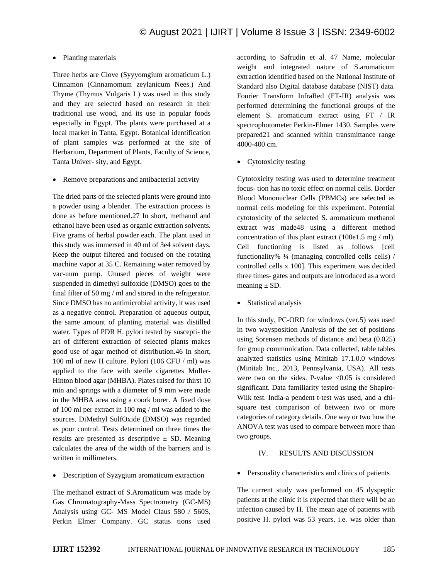#### • Planting materials

Three herbs are Clove (Syyyomgium aromaticum L.) Cinnamon (Cinnamomum zeylanicum Nees.) And Thyme (Thymus Vulgaris L) was used in this study and they are selected based on research in their traditional use wood, and its use in popular foods especially in Egypt. The plants were purchased at a local market in Tanta, Egypt. Botanical identification of plant samples was performed at the site of Herbarium, Department of Plants, Faculty of Science, Tanta Univer- sity, and Egypt.

• Remove preparations and antibacterial activity

The dried parts of the selected plants were ground into a powder using a blender. The extraction process is done as before mentioned.27 In short, methanol and ethanol have been used as organic extraction solvents. Five grams of herbal powder each. The plant used in this study was immersed in 40 ml of 3e4 solvent days. Keep the output filtered and focused on the rotating machine vapor at 35 C. Remaining water removed by vac-uum pump. Unused pieces of weight were suspended in dimethyl sulfoxide (DMSO) goes to the final filter of 50 mg / ml and stored in the refrigerator. Since DMSO has no antimicrobial activity, it was used as a negative control. Preparation of aqueous output, the same amount of planting material was distilled water. Types of PDR H. pylori tested by suscepti- the art of different extraction of selected plants makes good use of agar method of distribution.46 In short, 100 ml of new H culture. Pylori (106 CFU / ml) was applied to the face with sterile cigarettes Muller-Hinton blood agar (MHBA). Plates raised for thirst 10 min and springs with a diameter of 9 mm were made in the MHBA area using a coork borer. A fixed dose of 100 ml per extract in 100 mg / ml was added to the sources. DiMethyl SulfOxide (DMSO) was regarded as poor control. Tests determined on three times the results are presented as descriptive  $\pm$  SD. Meaning calculates the area of the width of the barriers and is written in millimeters.

• Description of Syzygium aromaticum extraction

The methanol extract of S.Aromaticum was made by Gas Chromatography-Mass Spectrometry (GC-MS) Analysis using GC- MS Model Claus 580 / 560S, Perkin Elmer Company. GC status tions used

according to Safrudin et al. 47 Name, molecular weight and integrated nature of S.aromaticum extraction identified based on the National Institute of Standard also Digital database database (NIST) data. Fourier Transform InfraRed (FT-IR) analysis was performed determining the functional groups of the element S. aromaticum extract using FT / IR spectrophotometer Perkin-Elmer 1430. Samples were prepared21 and scanned within transmittance range 4000-400 cm.

• Cytotoxicity testing

Cytotoxicity testing was used to determine treatment focus- tion has no toxic effect on normal cells. Border Blood Mononuclear Cells (PBMCs) are selected as normal cells modeling for this experiment. Potential cytotoxicity of the selected S. aromaticum methanol extract was made48 using a different method concentration of this plant extract (100e1.5 mg / ml). Cell functioning is listed as follows [cell functionality% ¼ (managing controlled cells cells) / controlled cells x 100]. This experiment was decided three times- gates and outputs are introduced as a word meaning  $\pm$  SD.

• Statistical analysis

In this study, PC-ORD for windows (ver.5) was used in two waysposition Analysis of the set of positions using Sorensen methods of distance and beta (0.025) for group communication. Data collected, table tables analyzed statistics using Minitab 17.1.0.0 windows (Minitab Inc., 2013, Pennsylvania, USA). All tests were two on the sides. P-value  $< 0.05$  is considered significant. Data familiarity tested using the Shapiro-Wilk test. India-a pendent t-test was used, and a chisquare test comparison of between two or more categories of category details. One way or two how the ANOVA test was used to compare between more than two groups.

### IV. RESULTS AND DISCUSSION

• Personality characteristics and clinics of patients

The current study was performed on 45 dyspeptic patients at the clinic it is expected that there will be an infection caused by H. The mean age of patients with positive H. pylori was 53 years, i.e. was older than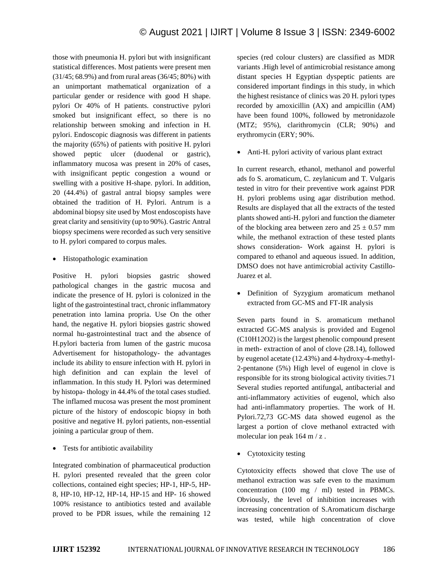those with pneumonia H. pylori but with insignificant statistical differences. Most patients were present men (31/45; 68.9%) and from rural areas (36/45; 80%) with an unimportant mathematical organization of a particular gender or residence with good H shape. pylori Or 40% of H patients. constructive pylori smoked but insignificant effect, so there is no relationship between smoking and infection in H. pylori. Endoscopic diagnosis was different in patients the majority (65%) of patients with positive H. pylori showed peptic ulcer (duodenal or gastric), inflammatory mucosa was present in 20% of cases, with insignificant peptic congestion a wound or swelling with a positive H-shape. pylori. In addition, 20 (44.4%) of gastral antral biopsy samples were obtained the tradition of H. Pylori. Antrum is a abdominal biopsy site used by Most endoscopists have great clarity and sensitivity (up to 90%). Gastric Antral biopsy specimens were recorded as such very sensitive to H. pylori compared to corpus males.

• Histopathologic examination

Positive H. pylori biopsies gastric showed pathological changes in the gastric mucosa and indicate the presence of H. pylori is colonized in the light of the gastrointestinal tract, chronic inflammatory penetration into lamina propria. Use On the other hand, the negative H. pylori biopsies gastric showed normal hu-gastrointestinal tract and the absence of H.pylori bacteria from lumen of the gastric mucosa Advertisement for histopathology- the advantages include its ability to ensure infection with H. pylori in high definition and can explain the level of inflammation. In this study H. Pylori was determined by histopa- thology in 44.4% of the total cases studied. The inflamed mucosa was present the most prominent picture of the history of endoscopic biopsy in both positive and negative H. pylori patients, non-essential joining a particular group of them.

• Tests for antibiotic availability

Integrated combination of pharmaceutical production H. pylori presented revealed that the green color collections, contained eight species; HP-1, HP-5, HP-8, HP-10, HP-12, HP-14, HP-15 and HP- 16 showed 100% resistance to antibiotics tested and available proved to be PDR issues, while the remaining 12 species (red colour clusters) are classified as MDR variants .High level of antimicrobial resistance among distant species H Egyptian dyspeptic patients are considered important findings in this study, in which the highest resistance of clinics was 20 H. pylori types recorded by amoxicillin (AX) and ampicillin (AM) have been found 100%, followed by metronidazole (MTZ; 95%), clarithromycin (CLR; 90%) and erythromycin (ERY; 90%.

• Anti-H. pylori activity of various plant extract

In current research, ethanol, methanol and powerful ads fo S. aromaticum, C. zeylanicum and T. Vulgaris tested in vitro for their preventive work against PDR H. pylori problems using agar distribution method. Results are displayed that all the extracts of the tested plants showed anti-H. pylori and function the diameter of the blocking area between zero and  $25 \pm 0.57$  mm while, the methanol extraction of these tested plants shows consideration- Work against H. pylori is compared to ethanol and aqueous issued. In addition, DMSO does not have antimicrobial activity Castillo-Juarez et al.

• Definition of Syzygium aromaticum methanol extracted from GC-MS and FT-IR analysis

Seven parts found in S. aromaticum methanol extracted GC-MS analysis is provided and Eugenol (C10H12O2) is the largest phenolic compound present in meth- extraction of anol of clove (28.14), followed by eugenol acetate (12.43%) and 4-hydroxy-4-methyl-2-pentanone (5%) High level of eugenol in clove is responsible for its strong biological activity tivities.71 Several studies reported antifungal, antibacterial and anti-inflammatory activities of eugenol, which also had anti-inflammatory properties. The work of H. Pylori.72,73 GC-MS data showed eugenol as the largest a portion of clove methanol extracted with molecular ion peak 164 m / z.

• Cytotoxicity testing

Cytotoxicity effects showed that clove The use of methanol extraction was safe even to the maximum concentration (100 mg / ml) tested in PBMCs. Obviously, the level of inhibition increases with increasing concentration of S.Aromaticum discharge was tested, while high concentration of clove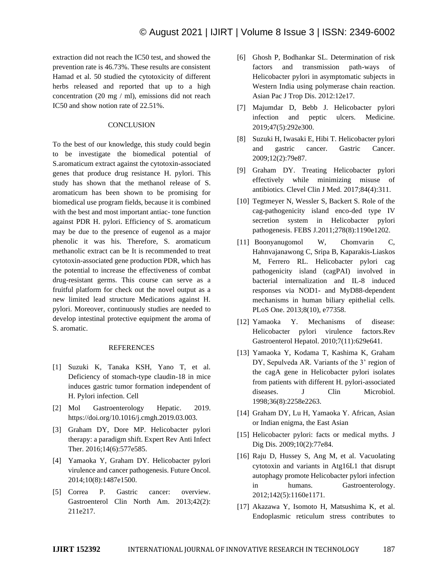extraction did not reach the IC50 test, and showed the prevention rate is 46.73%. These results are consistent Hamad et al. 50 studied the cytotoxicity of different herbs released and reported that up to a high concentration (20 mg / ml), emissions did not reach IC50 and show notion rate of 22.51%.

### **CONCLUSION**

To the best of our knowledge, this study could begin to be investigate the biomedical potential of S.aromaticum extract against the cytotoxin-associated genes that produce drug resistance H. pylori. This study has shown that the methanol release of S. aromaticum has been shown to be promising for biomedical use program fields, because it is combined with the best and most important antiac- tone function against PDR H. pylori. Efficiency of S. aromaticum may be due to the presence of eugenol as a major phenolic it was his. Therefore, S. aromaticum methanolic extract can be It is recommended to treat cytotoxin-associated gene production PDR, which has the potential to increase the effectiveness of combat drug-resistant germs. This course can serve as a fruitful platform for check out the novel output as a new limited lead structure Medications against H. pylori. Moreover, continuously studies are needed to develop intestinal protective equipment the aroma of S. aromatic.

#### REFERENCES

- [1] Suzuki K, Tanaka KSH, Yano T, et al. Deficiency of stomach-type claudin-18 in mice induces gastric tumor formation independent of H. Pylori infection. Cell
- [2] Mol Gastroenterology Hepatic. 2019. https://doi.org/10.1016/j.cmgh.2019.03.003.
- [3] Graham DY, Dore MP. Helicobacter pylori therapy: a paradigm shift. Expert Rev Anti Infect Ther. 2016;14(6):577e585.
- [4] Yamaoka Y, Graham DY. Helicobacter pylori virulence and cancer pathogenesis. Future Oncol. 2014;10(8):1487e1500.
- [5] Correa P. Gastric cancer: overview. Gastroenterol Clin North Am. 2013;42(2): 211e217.
- [6] Ghosh P, Bodhankar SL. Determination of risk factors and transmission path-ways of Helicobacter pylori in asymptomatic subjects in Western India using polymerase chain reaction. Asian Pac J Trop Dis. 2012:12e17.
- [7] Majumdar D, Bebb J. Helicobacter pylori infection and peptic ulcers. Medicine. 2019;47(5):292e300.
- [8] Suzuki H, Iwasaki E, Hibi T. Helicobacter pylori and gastric cancer. Gastric Cancer. 2009;12(2):79e87.
- [9] Graham DY. Treating Helicobacter pylori effectively while minimizing misuse of antibiotics. Clevel Clin J Med. 2017;84(4):311.
- [10] Tegtmeyer N, Wessler S, Backert S. Role of the cag-pathogenicity island enco-ded type IV secretion system in Helicobacter pylori pathogenesis. FEBS J.2011;278(8):1190e1202.
- [11] Boonyanugomol W, Chomvarin C, Hahnvajanawong C, Sripa B, Kaparakis-Liaskos M, Ferrero RL. Helicobacter pylori cag pathogenicity island (cagPAI) involved in bacterial internalization and IL-8 induced responses via NOD1- and MyD88-dependent mechanisms in human biliary epithelial cells. PLoS One. 2013;8(10), e77358.
- [12] Yamaoka Y. Mechanisms of disease: Helicobacter pylori virulence factors.Rev Gastroenterol Hepatol. 2010;7(11):629e641.
- [13] Yamaoka Y, Kodama T, Kashima K, Graham DY, Sepulveda AR. Variants of the 3' region of the cagA gene in Helicobacter pylori isolates from patients with different H. pylori-associated diseases. J Clin Microbiol. 1998;36(8):2258e2263.
- [14] Graham DY, Lu H, Yamaoka Y. African, Asian or Indian enigma, the East Asian
- [15] Helicobacter pylori: facts or medical myths. J Dig Dis. 2009;10(2):77e84.
- [16] Raju D, Hussey S, Ang M, et al. Vacuolating cytotoxin and variants in Atg16L1 that disrupt autophagy promote Helicobacter pylori infection in humans. Gastroenterology. 2012;142(5):1160e1171.
- [17] Akazawa Y, Isomoto H, Matsushima K, et al. Endoplasmic reticulum stress contributes to